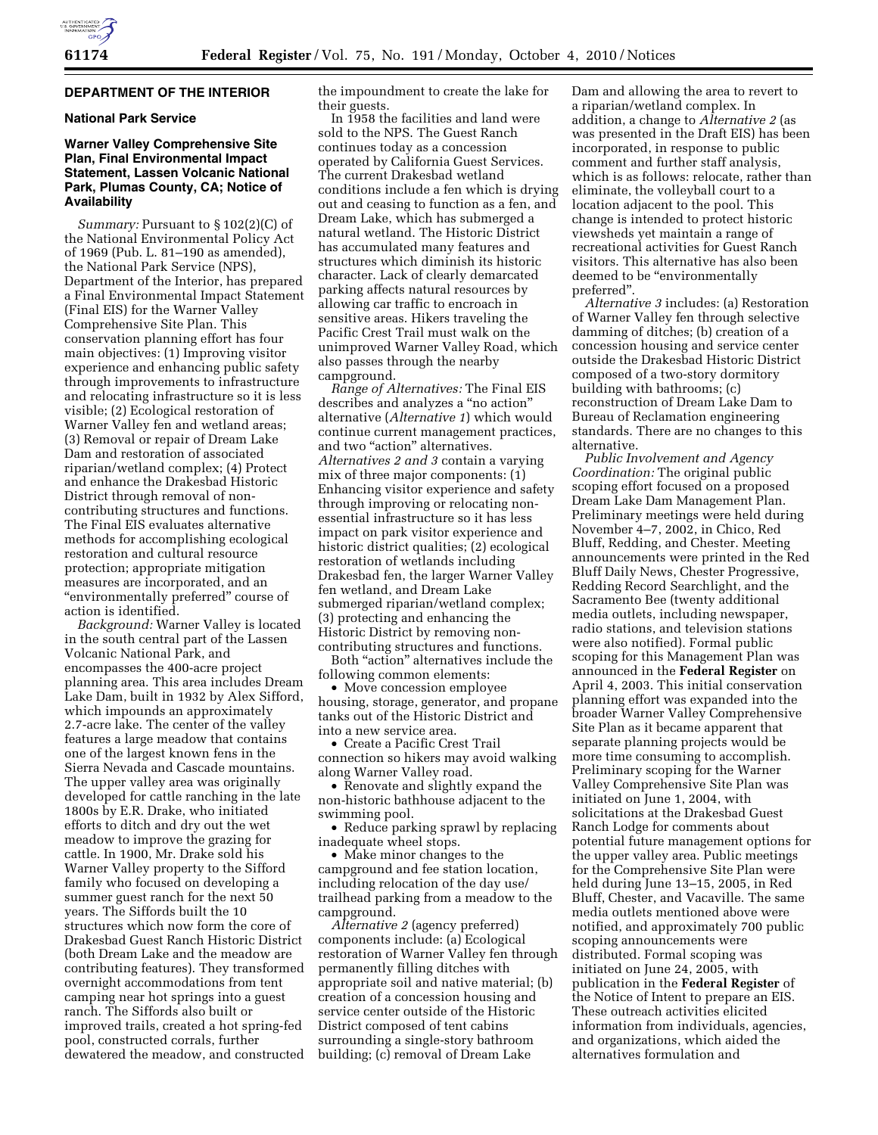# **DEPARTMENT OF THE INTERIOR**

## **National Park Service**

# **Warner Valley Comprehensive Site Plan, Final Environmental Impact Statement, Lassen Volcanic National Park, Plumas County, CA; Notice of Availability**

*Summary:* Pursuant to § 102(2)(C) of the National Environmental Policy Act of 1969 (Pub. L. 81–190 as amended), the National Park Service (NPS), Department of the Interior, has prepared a Final Environmental Impact Statement (Final EIS) for the Warner Valley Comprehensive Site Plan. This conservation planning effort has four main objectives: (1) Improving visitor experience and enhancing public safety through improvements to infrastructure and relocating infrastructure so it is less visible; (2) Ecological restoration of Warner Valley fen and wetland areas; (3) Removal or repair of Dream Lake Dam and restoration of associated riparian/wetland complex; (4) Protect and enhance the Drakesbad Historic District through removal of noncontributing structures and functions. The Final EIS evaluates alternative methods for accomplishing ecological restoration and cultural resource protection; appropriate mitigation measures are incorporated, and an "environmentally preferred" course of action is identified.

*Background:* Warner Valley is located in the south central part of the Lassen Volcanic National Park, and encompasses the 400-acre project planning area. This area includes Dream Lake Dam, built in 1932 by Alex Sifford, which impounds an approximately 2.7-acre lake. The center of the valley features a large meadow that contains one of the largest known fens in the Sierra Nevada and Cascade mountains. The upper valley area was originally developed for cattle ranching in the late 1800s by E.R. Drake, who initiated efforts to ditch and dry out the wet meadow to improve the grazing for cattle. In 1900, Mr. Drake sold his Warner Valley property to the Sifford family who focused on developing a summer guest ranch for the next 50 years. The Siffords built the 10 structures which now form the core of Drakesbad Guest Ranch Historic District (both Dream Lake and the meadow are contributing features). They transformed overnight accommodations from tent camping near hot springs into a guest ranch. The Siffords also built or improved trails, created a hot spring-fed pool, constructed corrals, further dewatered the meadow, and constructed

the impoundment to create the lake for their guests.

In 1958 the facilities and land were sold to the NPS. The Guest Ranch continues today as a concession operated by California Guest Services. The current Drakesbad wetland conditions include a fen which is drying out and ceasing to function as a fen, and Dream Lake, which has submerged a natural wetland. The Historic District has accumulated many features and structures which diminish its historic character. Lack of clearly demarcated parking affects natural resources by allowing car traffic to encroach in sensitive areas. Hikers traveling the Pacific Crest Trail must walk on the unimproved Warner Valley Road, which also passes through the nearby campground.

*Range of Alternatives:* The Final EIS describes and analyzes a ''no action'' alternative (*Alternative 1*) which would continue current management practices, and two "action" alternatives. *Alternatives 2 and 3* contain a varying mix of three major components: (1) Enhancing visitor experience and safety through improving or relocating nonessential infrastructure so it has less impact on park visitor experience and historic district qualities; (2) ecological restoration of wetlands including Drakesbad fen, the larger Warner Valley fen wetland, and Dream Lake submerged riparian/wetland complex; (3) protecting and enhancing the Historic District by removing noncontributing structures and functions.

Both ''action'' alternatives include the following common elements:

• Move concession employee housing, storage, generator, and propane tanks out of the Historic District and into a new service area.

• Create a Pacific Crest Trail connection so hikers may avoid walking along Warner Valley road.

• Renovate and slightly expand the non-historic bathhouse adjacent to the swimming pool.

• Reduce parking sprawl by replacing inadequate wheel stops.

• Make minor changes to the campground and fee station location, including relocation of the day use/ trailhead parking from a meadow to the campground.

*Alternative 2* (agency preferred) components include: (a) Ecological restoration of Warner Valley fen through permanently filling ditches with appropriate soil and native material; (b) creation of a concession housing and service center outside of the Historic District composed of tent cabins surrounding a single-story bathroom building; (c) removal of Dream Lake

Dam and allowing the area to revert to a riparian/wetland complex. In addition, a change to *Alternative 2* (as was presented in the Draft EIS) has been incorporated, in response to public comment and further staff analysis, which is as follows: relocate, rather than eliminate, the volleyball court to a location adjacent to the pool. This change is intended to protect historic viewsheds yet maintain a range of recreational activities for Guest Ranch visitors. This alternative has also been deemed to be "environmentally preferred''.

*Alternative 3* includes: (a) Restoration of Warner Valley fen through selective damming of ditches; (b) creation of a concession housing and service center outside the Drakesbad Historic District composed of a two-story dormitory building with bathrooms; (c) reconstruction of Dream Lake Dam to Bureau of Reclamation engineering standards. There are no changes to this alternative.

*Public Involvement and Agency Coordination:* The original public scoping effort focused on a proposed Dream Lake Dam Management Plan. Preliminary meetings were held during November 4–7, 2002, in Chico, Red Bluff, Redding, and Chester. Meeting announcements were printed in the Red Bluff Daily News, Chester Progressive, Redding Record Searchlight, and the Sacramento Bee (twenty additional media outlets, including newspaper, radio stations, and television stations were also notified). Formal public scoping for this Management Plan was announced in the **Federal Register** on April 4, 2003. This initial conservation planning effort was expanded into the broader Warner Valley Comprehensive Site Plan as it became apparent that separate planning projects would be more time consuming to accomplish. Preliminary scoping for the Warner Valley Comprehensive Site Plan was initiated on June 1, 2004, with solicitations at the Drakesbad Guest Ranch Lodge for comments about potential future management options for the upper valley area. Public meetings for the Comprehensive Site Plan were held during June 13–15, 2005, in Red Bluff, Chester, and Vacaville. The same media outlets mentioned above were notified, and approximately 700 public scoping announcements were distributed. Formal scoping was initiated on June 24, 2005, with publication in the **Federal Register** of the Notice of Intent to prepare an EIS. These outreach activities elicited information from individuals, agencies, and organizations, which aided the alternatives formulation and